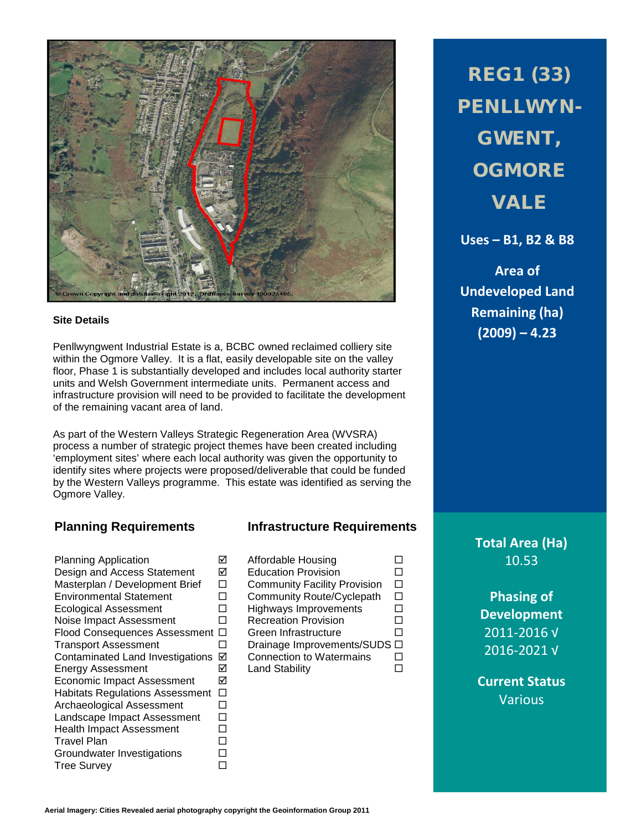

## **Site Details**

Penllwyngwent Industrial Estate is a, BCBC owned reclaimed colliery site within the Ogmore Valley. It is a flat, easily developable site on the valley floor, Phase 1 is substantially developed and includes local authority starter units and Welsh Government intermediate units. Permanent access and infrastructure provision will need to be provided to facilitate the development of the remaining vacant area of land.

As part of the Western Valleys Strategic Regeneration Area (WVSRA) process a number of strategic project themes have been created including 'employment sites' where each local authority was given the opportunity to identify sites where projects were proposed/deliverable that could be funded by the Western Valleys programme. This estate was identified as serving the Ogmore Valley.

Planning Application Affordable Housing Design and Access Statement  $\Box$  Education Provision  $\Box$ <br>Masterplan / Development Brief  $\Box$  Community Facility Provision  $\Box$ Masterplan / Development Brief Environmental Statement  $\square$  Community Route/Cyclepath  $\square$ Ecological Assessment  $\Box$  Highways Improvements  $\Box$  Noise Impact Assessment  $\Box$  Recreation Provision  $\Box$ Noise Impact Assessment D Recreation Provision D Flood Consequences Assessment  $\square$  Green Infrastructure  $\square$ Transport Assessment  $\Box$  Drainage Improvements/SUDS  $\Box$ <br>Contaminated Land Investigations  $\Box$  Connection to Watermains  $\Box$ Contaminated Land Investigations **Ø** Connection to Watermains <br>
Energy Assessment **Ø** Land Stability **D** Energy Assessment  $\boxtimes$ <br>Economic Impact Assessment  $\boxtimes$ Economic Impact Assessment Habitats Regulations Assessment  $\Box$ Archaeological Assessment  $\square$ Landscape Impact Assessment  $\square$ <br>Health Impact Assessment  $\square$ Health Impact Assessment  $\square$ <br>Travel Plan  $\square$ Travel Plan Groundwater Investigations  $\square$ <br>Tree Survey Tree Survey

## **Planning Requirements Infrastructure Requirements**

REG1 (33) PENLLWYN-GWENT, **OGMORE** VALE

**Uses – B1, B2 & B8**

**Area of Undeveloped Land Remaining (ha) (2009) – 4.23**

**Total Area (Ha)** 10.53

> **Phasing of Development** 2011-2016 √ 2016-2021 √

**Current Status** Various